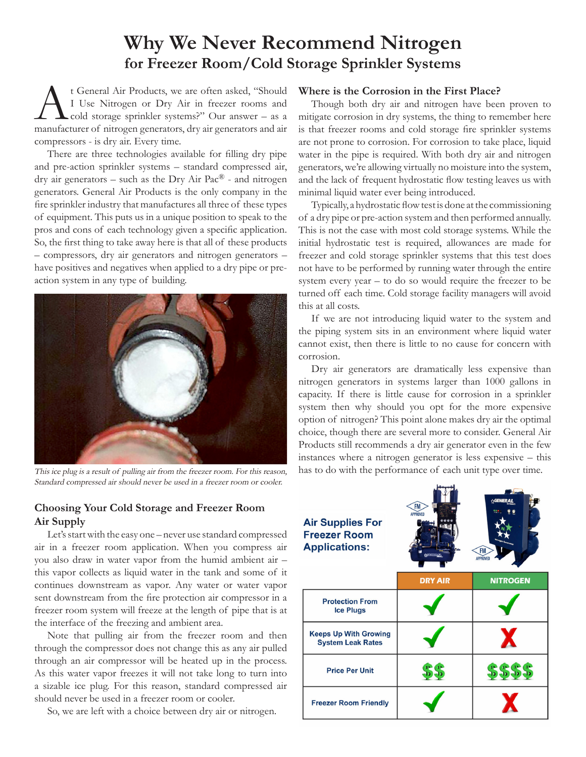# **Why We Never Recommend Nitrogen for Freezer Room/Cold Storage Sprinkler Systems**

<sup>t</sup> General Air Products, we are often asked, "Should<br>
I Use Nitrogen or Dry Air in freezer rooms and<br>
cold storage sprinkler systems?" Our answer – as a<br>
manufacturer of nitrogen generators, dry air generators and air I Use Nitrogen or Dry Air in freezer rooms and cold storage sprinkler systems?" Our answer – as a manufacturer of nitrogen generators, dry air generators and air compressors - is dry air. Every time.

There are three technologies available for filling dry pipe and pre-action sprinkler systems – standard compressed air, dry air generators – such as the Dry Air Pac® - and nitrogen generators. General Air Products is the only company in the fire sprinkler industry that manufactures all three of these types of equipment. This puts us in a unique position to speak to the pros and cons of each technology given a specific application. So, the first thing to take away here is that all of these products – compressors, dry air generators and nitrogen generators – have positives and negatives when applied to a dry pipe or preaction system in any type of building.



This ice plug is a result of pulling air from the freezer room. For this reason, Standard compressed air should never be used in a freezer room or cooler.

### **Where is the Corrosion in the First Place?**

Though both dry air and nitrogen have been proven to mitigate corrosion in dry systems, the thing to remember here is that freezer rooms and cold storage fire sprinkler systems are not prone to corrosion. For corrosion to take place, liquid water in the pipe is required. With both dry air and nitrogen generators, we're allowing virtually no moisture into the system, and the lack of frequent hydrostatic flow testing leaves us with minimal liquid water ever being introduced.

Typically, a hydrostatic flow test is done at the commissioning of a dry pipe or pre-action system and then performed annually. This is not the case with most cold storage systems. While the initial hydrostatic test is required, allowances are made for freezer and cold storage sprinkler systems that this test does not have to be performed by running water through the entire system every year – to do so would require the freezer to be turned off each time. Cold storage facility managers will avoid this at all costs.

If we are not introducing liquid water to the system and the piping system sits in an environment where liquid water cannot exist, then there is little to no cause for concern with corrosion.

Dry air generators are dramatically less expensive than nitrogen generators in systems larger than 1000 gallons in capacity. If there is little cause for corrosion in a sprinkler system then why should you opt for the more expensive option of nitrogen? This point alone makes dry air the optimal choice, though there are several more to consider. General Air Products still recommends a dry air generator even in the few instances where a nitrogen generator is less expensive – this has to do with the performance of each unit type over time.

### **Choosing Your Cold Storage and Freezer Room Air Supply**

Let's start with the easy one – never use standard compressed air in a freezer room application. When you compress air you also draw in water vapor from the humid ambient air – this vapor collects as liquid water in the tank and some of it continues downstream as vapor. Any water or water vapor sent downstream from the fire protection air compressor in a freezer room system will freeze at the length of pipe that is at the interface of the freezing and ambient area.

Note that pulling air from the freezer room and then through the compressor does not change this as any air pulled through an air compressor will be heated up in the process. As this water vapor freezes it will not take long to turn into a sizable ice plug. For this reason, standard compressed air should never be used in a freezer room or cooler.

So, we are left with a choice between dry air or nitrogen.